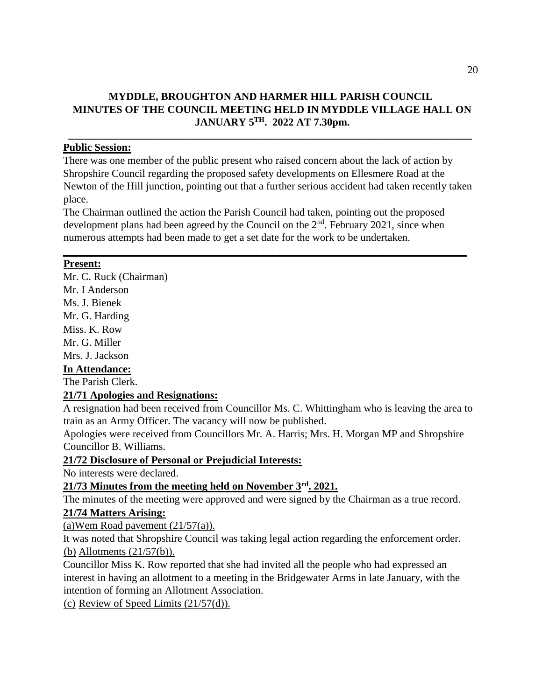### **MYDDLE, BROUGHTON AND HARMER HILL PARISH COUNCIL MINUTES OF THE COUNCIL MEETING HELD IN MYDDLE VILLAGE HALL ON JANUARY 5TH. 2022 AT 7.30pm.**

**\_\_\_\_\_\_\_\_\_\_\_\_\_\_\_\_\_\_\_\_\_\_\_\_\_\_\_\_\_\_\_\_\_\_\_\_\_\_\_\_\_\_\_\_\_\_\_\_\_\_\_\_\_\_\_\_\_\_\_\_\_\_\_\_\_\_\_\_\_\_\_\_\_\_\_\_** 

### **Public Session:**

There was one member of the public present who raised concern about the lack of action by Shropshire Council regarding the proposed safety developments on Ellesmere Road at the Newton of the Hill junction, pointing out that a further serious accident had taken recently taken place.

The Chairman outlined the action the Parish Council had taken, pointing out the proposed development plans had been agreed by the Council on the  $2<sup>nd</sup>$ . February 2021, since when numerous attempts had been made to get a set date for the work to be undertaken.

**\_\_\_\_\_\_\_\_\_\_\_\_\_\_\_\_\_\_\_\_\_\_\_\_\_\_\_\_\_\_\_\_\_\_\_\_\_\_\_\_\_\_\_\_\_\_\_\_\_\_\_\_\_\_\_\_\_\_\_\_\_\_\_\_\_\_\_\_\_\_\_\_\_\_\_\_**

### **Present:**

Mr. C. Ruck (Chairman) Mr. I Anderson Ms. J. Bienek Mr. G. Harding Miss. K. Row Mr. G. Miller Mrs. J. Jackson

# **In Attendance:**

The Parish Clerk.

# **21/71 Apologies and Resignations:**

A resignation had been received from Councillor Ms. C. Whittingham who is leaving the area to train as an Army Officer. The vacancy will now be published.

Apologies were received from Councillors Mr. A. Harris; Mrs. H. Morgan MP and Shropshire Councillor B. Williams.

**21/72 Disclosure of Personal or Prejudicial Interests:**

No interests were declared.

# **21/73 Minutes from the meeting held on November 3rd. 2021.**

The minutes of the meeting were approved and were signed by the Chairman as a true record.

# **21/74 Matters Arising:**

(a)Wem Road pavement  $(21/57(a))$ .

It was noted that Shropshire Council was taking legal action regarding the enforcement order. (b) Allotments (21/57(b)).

Councillor Miss K. Row reported that she had invited all the people who had expressed an interest in having an allotment to a meeting in the Bridgewater Arms in late January, with the intention of forming an Allotment Association.

(c) Review of Speed Limits (21/57(d)).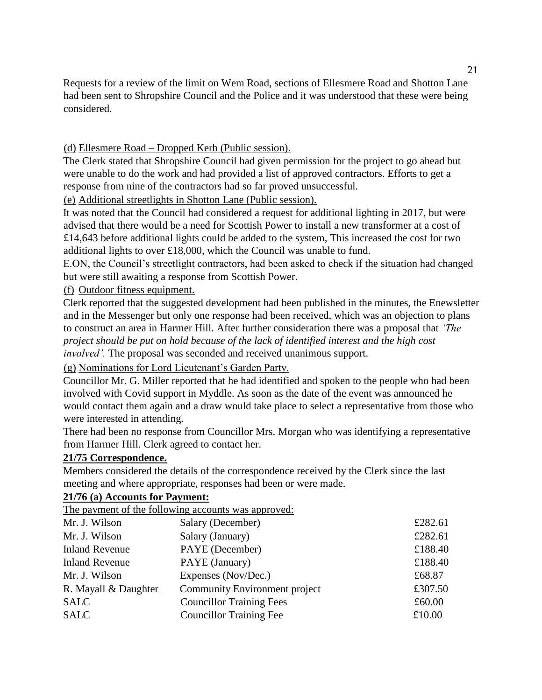Requests for a review of the limit on Wem Road, sections of Ellesmere Road and Shotton Lane had been sent to Shropshire Council and the Police and it was understood that these were being considered.

(d) Ellesmere Road – Dropped Kerb (Public session).

The Clerk stated that Shropshire Council had given permission for the project to go ahead but were unable to do the work and had provided a list of approved contractors. Efforts to get a response from nine of the contractors had so far proved unsuccessful.

(e) Additional streetlights in Shotton Lane (Public session).

It was noted that the Council had considered a request for additional lighting in 2017, but were advised that there would be a need for Scottish Power to install a new transformer at a cost of £14,643 before additional lights could be added to the system, This increased the cost for two additional lights to over £18,000, which the Council was unable to fund.

E.ON, the Council's streetlight contractors, had been asked to check if the situation had changed but were still awaiting a response from Scottish Power.

(f) Outdoor fitness equipment.

Clerk reported that the suggested development had been published in the minutes, the Enewsletter and in the Messenger but only one response had been received, which was an objection to plans to construct an area in Harmer Hill. After further consideration there was a proposal that *'The project should be put on hold because of the lack of identified interest and the high cost involved'.* The proposal was seconded and received unanimous support.

(g) Nominations for Lord Lieutenant's Garden Party.

Councillor Mr. G. Miller reported that he had identified and spoken to the people who had been involved with Covid support in Myddle. As soon as the date of the event was announced he would contact them again and a draw would take place to select a representative from those who were interested in attending.

There had been no response from Councillor Mrs. Morgan who was identifying a representative from Harmer Hill. Clerk agreed to contact her.

#### **21/75 Correspondence.**

Members considered the details of the correspondence received by the Clerk since the last meeting and where appropriate, responses had been or were made.

### **21/76 (a) Accounts for Payment:**

The payment of the following accounts was approved:

| Mr. J. Wilson         | Salary (December)                    | £282.61 |
|-----------------------|--------------------------------------|---------|
| Mr. J. Wilson         | Salary (January)                     | £282.61 |
| <b>Inland Revenue</b> | PAYE (December)                      | £188.40 |
| <b>Inland Revenue</b> | PAYE (January)                       | £188.40 |
| Mr. J. Wilson         | Expenses (Nov/Dec.)                  | £68.87  |
| R. Mayall & Daughter  | <b>Community Environment project</b> | £307.50 |
| <b>SALC</b>           | <b>Councillor Training Fees</b>      | £60.00  |
| <b>SALC</b>           | <b>Councillor Training Fee</b>       | £10.00  |
|                       |                                      |         |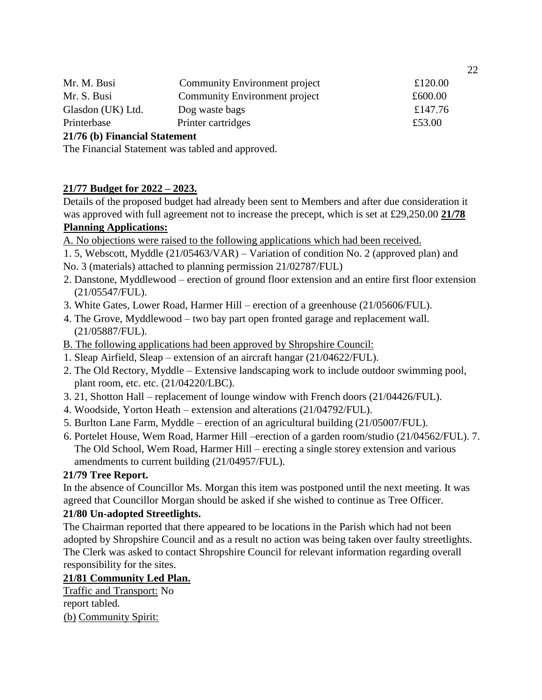| Mr. M. Busi       | <b>Community Environment project</b> | £120.00 |
|-------------------|--------------------------------------|---------|
| Mr. S. Busi       | <b>Community Environment project</b> | £600.00 |
| Glasdon (UK) Ltd. | Dog waste bags                       | £147.76 |
| Printerbase       | Printer cartridges                   | £53.00  |
|                   |                                      |         |

### **21/76 (b) Financial Statement**

The Financial Statement was tabled and approved.

### **21/77 Budget for 2022 – 2023.**

Details of the proposed budget had already been sent to Members and after due consideration it was approved with full agreement not to increase the precept, which is set at £29,250.00 **21/78 Planning Applications:** 

### A. No objections were raised to the following applications which had been received.

1. 5, Webscott, Myddle (21/05463/VAR) – Variation of condition No. 2 (approved plan) and No. 3 (materials) attached to planning permission 21/02787/FUL)

- 2. Danstone, Myddlewood erection of ground floor extension and an entire first floor extension (21/05547/FUL).
- 3. White Gates, Lower Road, Harmer Hill erection of a greenhouse (21/05606/FUL).
- 4. The Grove, Myddlewood two bay part open fronted garage and replacement wall. (21/05887/FUL).
- B. The following applications had been approved by Shropshire Council:
- 1. Sleap Airfield, Sleap extension of an aircraft hangar (21/04622/FUL).
- 2. The Old Rectory, Myddle Extensive landscaping work to include outdoor swimming pool, plant room, etc. etc. (21/04220/LBC).
- 3. 21, Shotton Hall replacement of lounge window with French doors (21/04426/FUL).
- 4. Woodside, Yorton Heath extension and alterations (21/04792/FUL).
- 5. Burlton Lane Farm, Myddle erection of an agricultural building (21/05007/FUL).
- 6. Portelet House, Wem Road, Harmer Hill –erection of a garden room/studio (21/04562/FUL). 7. The Old School, Wem Road, Harmer Hill – erecting a single storey extension and various amendments to current building (21/04957/FUL).

### **21/79 Tree Report.**

In the absence of Councillor Ms. Morgan this item was postponed until the next meeting. It was agreed that Councillor Morgan should be asked if she wished to continue as Tree Officer.

# **21/80 Un-adopted Streetlights.**

The Chairman reported that there appeared to be locations in the Parish which had not been adopted by Shropshire Council and as a result no action was being taken over faulty streetlights. The Clerk was asked to contact Shropshire Council for relevant information regarding overall responsibility for the sites.

# **21/81 Community Led Plan.**

Traffic and Transport: No report tabled. (b) Community Spirit: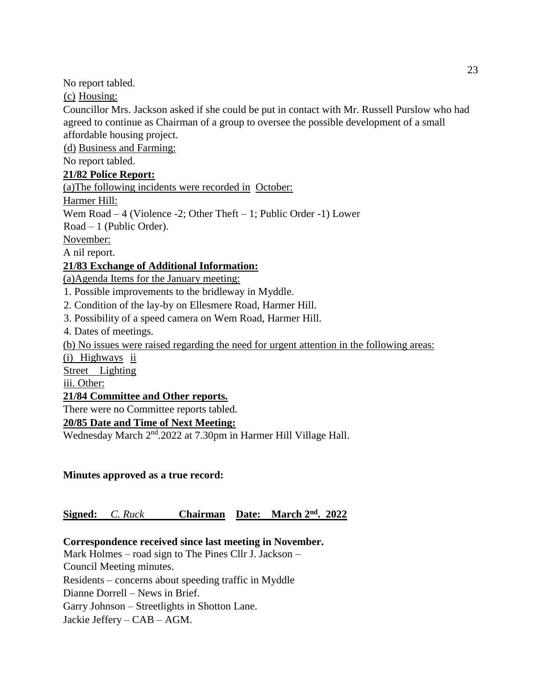No report tabled.

(c) Housing:

Councillor Mrs. Jackson asked if she could be put in contact with Mr. Russell Purslow who had agreed to continue as Chairman of a group to oversee the possible development of a small affordable housing project.

(d) Business and Farming:

No report tabled.

### **21/82 Police Report:**

(a)The following incidents were recorded in October:

Harmer Hill:

Wem Road – 4 (Violence -2; Other Theft – 1; Public Order -1) Lower

Road – 1 (Public Order).

November:

A nil report.

# **21/83 Exchange of Additional Information:**

(a)Agenda Items for the January meeting:

1. Possible improvements to the bridleway in Myddle.

2. Condition of the lay-by on Ellesmere Road, Harmer Hill.

3. Possibility of a speed camera on Wem Road, Harmer Hill.

4. Dates of meetings.

(b) No issues were raised regarding the need for urgent attention in the following areas:

(i) Highways ii

Street Lighting

iii. Other:

### **21/84 Committee and Other reports.**

There were no Committee reports tabled.

# **20/85 Date and Time of Next Meeting:**

Wednesday March 2<sup>nd</sup>.2022 at 7.30pm in Harmer Hill Village Hall.

**Minutes approved as a true record:** 

# **Signed:** *C. Ruck* **Chairman Date: March 2nd. 2022**

# **Correspondence received since last meeting in November.**

Mark Holmes – road sign to The Pines Cllr J. Jackson – Council Meeting minutes.

Residents – concerns about speeding traffic in Myddle

Dianne Dorrell – News in Brief.

Garry Johnson – Streetlights in Shotton Lane.

Jackie Jeffery – CAB – AGM.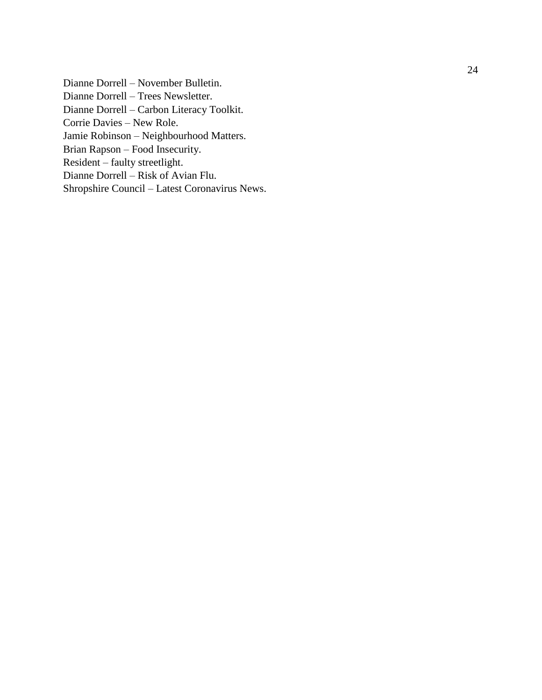Dianne Dorrell – November Bulletin. Dianne Dorrell – Trees Newsletter. Dianne Dorrell – Carbon Literacy Toolkit. Corrie Davies – New Role. Jamie Robinson – Neighbourhood Matters. Brian Rapson – Food Insecurity. Resident – faulty streetlight. Dianne Dorrell – Risk of Avian Flu. Shropshire Council – Latest Coronavirus News.